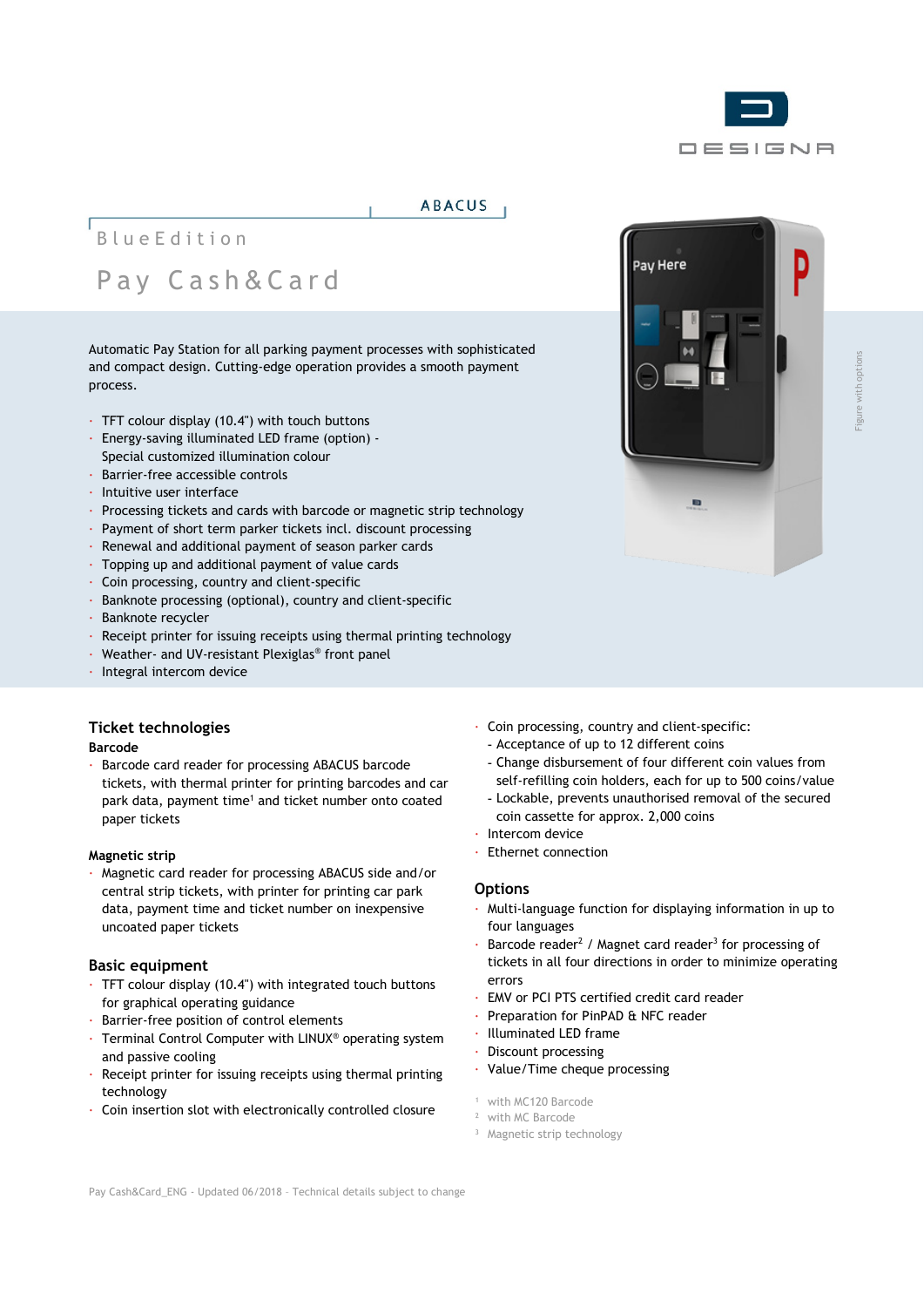

### **ABACUS**

# BlueEdition Pay C ash & Card

Automatic Pay Station for all parking payment processes with sophisticated and compact design. Cutting-edge operation provides a smooth payment process.

- · TFT colour display (10.4") with touch buttons
- · Energy-saving illuminated LED frame (option) Special customized illumination colour
- · Barrier-free accessible controls
- · Intuitive user interface
- · Processing tickets and cards with barcode or magnetic strip technology
- · Payment of short term parker tickets incl. discount processing
- · Renewal and additional payment of season parker cards
- · Topping up and additional payment of value cards
- · Coin processing, country and client-specific
- · Banknote processing (optional), country and client-specific
- · Banknote recycler
- · Receipt printer for issuing receipts using thermal printing technology
- · Weather- and UV-resistant Plexiglas® front panel
- · Integral intercom device

### **Ticket technologies**

### **Barcode**

· Barcode card reader for processing ABACUS barcode tickets, with thermal printer for printing barcodes and car park data, payment time<sup>1</sup> and ticket number onto coated paper tickets

### **Magnetic strip**

· Magnetic card reader for processing ABACUS side and/or central strip tickets, with printer for printing car park data, payment time and ticket number on inexpensive uncoated paper tickets

### **Basic equipment**

- · TFT colour display (10.4") with integrated touch buttons for graphical operating guidance
- · Barrier-free position of control elements
- · Terminal Control Computer with LINUX® operating system and passive cooling
- · Receipt printer for issuing receipts using thermal printing technology
- · Coin insertion slot with electronically controlled closure
- · Coin processing, country and client-specific:
	- Acceptance of up to 12 different coins
	- Change disbursement of four different coin values from self-refilling coin holders, each for up to 500 coins/value
	- Lockable, prevents unauthorised removal of the secured coin cassette for approx. 2,000 coins
- Intercom device
- · Ethernet connection

### **Options**

- · Multi-language function for displaying information in up to four languages
- Barcode reader<sup>2</sup> / Magnet card reader<sup>3</sup> for processing of tickets in all four directions in order to minimize operating errors
- · EMV or PCI PTS certified credit card reader
- Preparation for PinPAD & NFC reader
- · Illuminated LED frame
- · Discount processing
- · Value/Time cheque processing
- <sup>1</sup> with MC120 Barcode
- <sup>2</sup> with MC Barcode
- <sup>3</sup> Magnetic strip technology